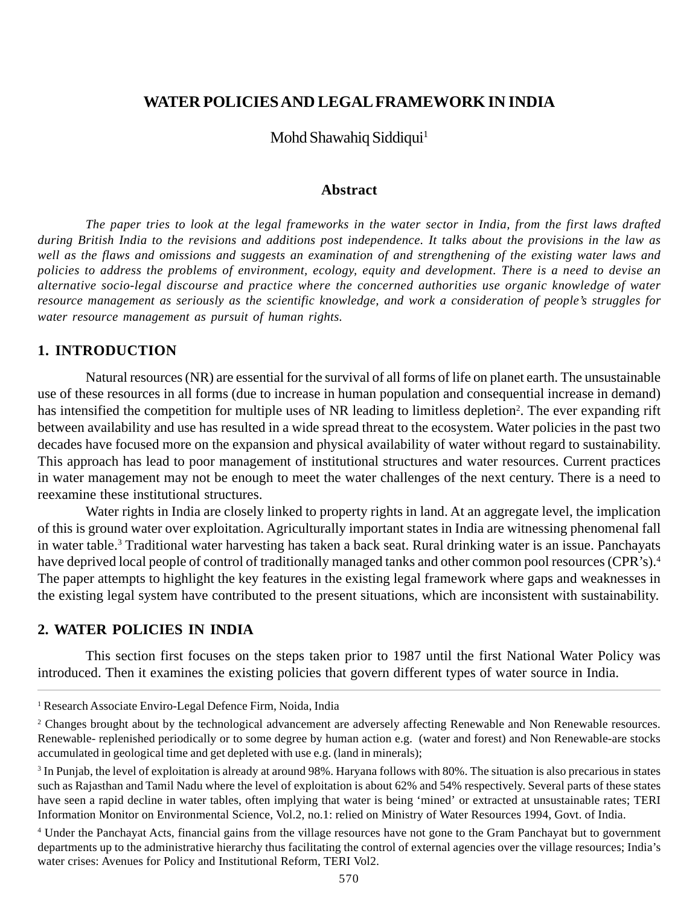## **WATER POLICIES AND LEGAL FRAMEWORK IN INDIA**

Mohd Shawahiq Siddiqui<sup>1</sup>

#### **Abstract**

*The paper tries to look at the legal frameworks in the water sector in India, from the first laws drafted during British India to the revisions and additions post independence. It talks about the provisions in the law as well as the flaws and omissions and suggests an examination of and strengthening of the existing water laws and policies to address the problems of environment, ecology, equity and development. There is a need to devise an alternative socio-legal discourse and practice where the concerned authorities use organic knowledge of water resource management as seriously as the scientific knowledge, and work a consideration of people's struggles for water resource management as pursuit of human rights.*

### **1. INTRODUCTION**

Natural resources (NR) are essential for the survival of all forms of life on planet earth. The unsustainable use of these resources in all forms (due to increase in human population and consequential increase in demand) has intensified the competition for multiple uses of NR leading to limitless depletion<sup>2</sup>. The ever expanding rift between availability and use has resulted in a wide spread threat to the ecosystem. Water policies in the past two decades have focused more on the expansion and physical availability of water without regard to sustainability. This approach has lead to poor management of institutional structures and water resources. Current practices in water management may not be enough to meet the water challenges of the next century. There is a need to reexamine these institutional structures.

Water rights in India are closely linked to property rights in land. At an aggregate level, the implication of this is ground water over exploitation. Agriculturally important states in India are witnessing phenomenal fall in water table.3 Traditional water harvesting has taken a back seat. Rural drinking water is an issue. Panchayats have deprived local people of control of traditionally managed tanks and other common pool resources (CPR's).<sup>4</sup> The paper attempts to highlight the key features in the existing legal framework where gaps and weaknesses in the existing legal system have contributed to the present situations, which are inconsistent with sustainability.

## **2. WATER POLICIES IN INDIA**

This section first focuses on the steps taken prior to 1987 until the first National Water Policy was introduced. Then it examines the existing policies that govern different types of water source in India.

<sup>&</sup>lt;sup>1</sup> Research Associate Enviro-Legal Defence Firm, Noida, India

<sup>&</sup>lt;sup>2</sup> Changes brought about by the technological advancement are adversely affecting Renewable and Non Renewable resources. Renewable- replenished periodically or to some degree by human action e.g. (water and forest) and Non Renewable-are stocks accumulated in geological time and get depleted with use e.g. (land in minerals);

<sup>&</sup>lt;sup>3</sup> In Punjab, the level of exploitation is already at around 98%. Haryana follows with 80%. The situation is also precarious in states such as Rajasthan and Tamil Nadu where the level of exploitation is about 62% and 54% respectively. Several parts of these states have seen a rapid decline in water tables, often implying that water is being 'mined' or extracted at unsustainable rates; TERI Information Monitor on Environmental Science, Vol.2, no.1: relied on Ministry of Water Resources 1994, Govt. of India.

<sup>4</sup> Under the Panchayat Acts, financial gains from the village resources have not gone to the Gram Panchayat but to government departments up to the administrative hierarchy thus facilitating the control of external agencies over the village resources; India's water crises: Avenues for Policy and Institutional Reform, TERI Vol2.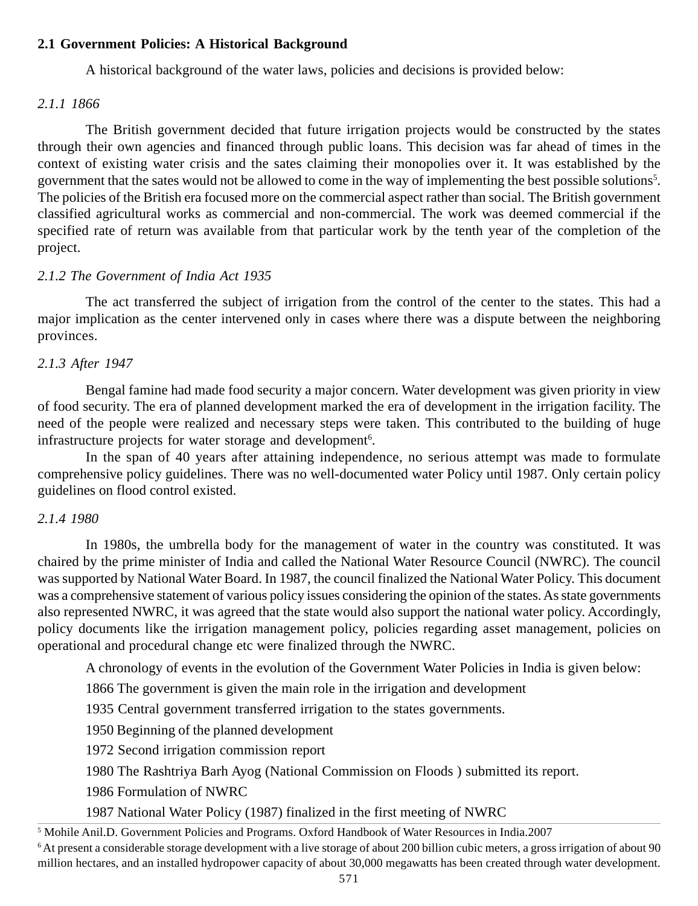# **2.1 Government Policies: A Historical Background**

A historical background of the water laws, policies and decisions is provided below:

### *2.1.1 1866*

The British government decided that future irrigation projects would be constructed by the states through their own agencies and financed through public loans. This decision was far ahead of times in the context of existing water crisis and the sates claiming their monopolies over it. It was established by the government that the sates would not be allowed to come in the way of implementing the best possible solutions<sup>5</sup>. The policies of the British era focused more on the commercial aspect rather than social. The British government classified agricultural works as commercial and non-commercial. The work was deemed commercial if the specified rate of return was available from that particular work by the tenth year of the completion of the project.

## *2.1.2 The Government of India Act 1935*

The act transferred the subject of irrigation from the control of the center to the states. This had a major implication as the center intervened only in cases where there was a dispute between the neighboring provinces.

## *2.1.3 After 1947*

Bengal famine had made food security a major concern. Water development was given priority in view of food security. The era of planned development marked the era of development in the irrigation facility. The need of the people were realized and necessary steps were taken. This contributed to the building of huge infrastructure projects for water storage and development<sup>6</sup>.

In the span of 40 years after attaining independence, no serious attempt was made to formulate comprehensive policy guidelines. There was no well-documented water Policy until 1987. Only certain policy guidelines on flood control existed.

### *2.1.4 1980*

In 1980s, the umbrella body for the management of water in the country was constituted. It was chaired by the prime minister of India and called the National Water Resource Council (NWRC). The council was supported by National Water Board. In 1987, the council finalized the National Water Policy. This document was a comprehensive statement of various policy issues considering the opinion of the states. As state governments also represented NWRC, it was agreed that the state would also support the national water policy. Accordingly, policy documents like the irrigation management policy, policies regarding asset management, policies on operational and procedural change etc were finalized through the NWRC.

A chronology of events in the evolution of the Government Water Policies in India is given below:

1866 The government is given the main role in the irrigation and development

1935 Central government transferred irrigation to the states governments.

1950 Beginning of the planned development

1972 Second irrigation commission report

1980 The Rashtriya Barh Ayog (National Commission on Floods ) submitted its report.

1986 Formulation of NWRC

1987 National Water Policy (1987) finalized in the first meeting of NWRC

<sup>5</sup> Mohile Anil.D. Government Policies and Programs. Oxford Handbook of Water Resources in India.2007

6 At present a considerable storage development with a live storage of about 200 billion cubic meters, a gross irrigation of about 90 million hectares, and an installed hydropower capacity of about 30,000 megawatts has been created through water development.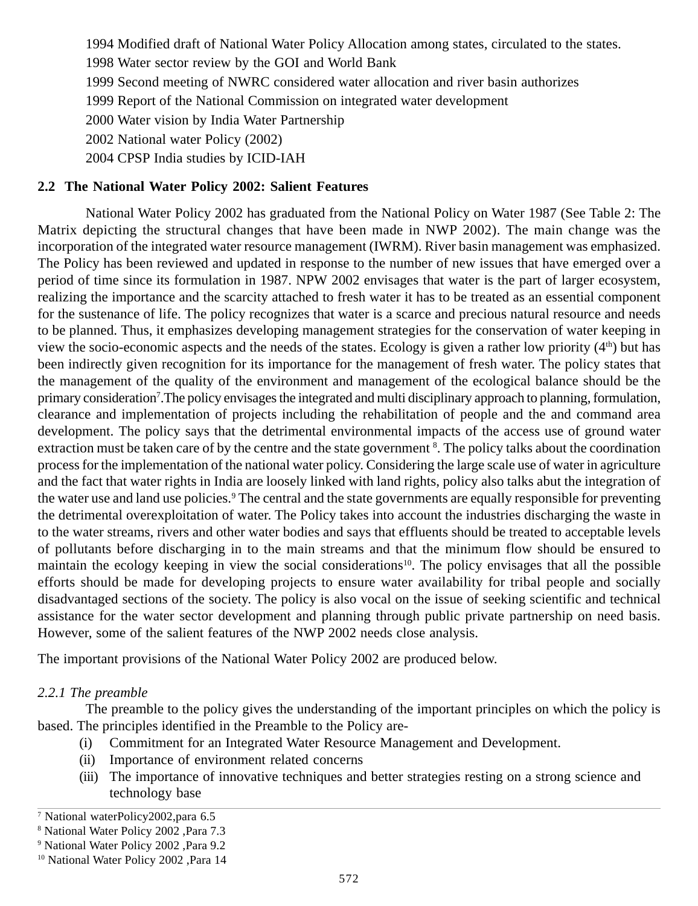1994 Modified draft of National Water Policy Allocation among states, circulated to the states.

1998 Water sector review by the GOI and World Bank

1999 Second meeting of NWRC considered water allocation and river basin authorizes

1999 Report of the National Commission on integrated water development

2000 Water vision by India Water Partnership

2002 National water Policy (2002)

2004 CPSP India studies by ICID-IAH

# **2.2 The National Water Policy 2002: Salient Features**

National Water Policy 2002 has graduated from the National Policy on Water 1987 (See Table 2: The Matrix depicting the structural changes that have been made in NWP 2002). The main change was the incorporation of the integrated water resource management (IWRM). River basin management was emphasized. The Policy has been reviewed and updated in response to the number of new issues that have emerged over a period of time since its formulation in 1987. NPW 2002 envisages that water is the part of larger ecosystem, realizing the importance and the scarcity attached to fresh water it has to be treated as an essential component for the sustenance of life. The policy recognizes that water is a scarce and precious natural resource and needs to be planned. Thus, it emphasizes developing management strategies for the conservation of water keeping in view the socio-economic aspects and the needs of the states. Ecology is given a rather low priority  $(4<sup>th</sup>)$  but has been indirectly given recognition for its importance for the management of fresh water. The policy states that the management of the quality of the environment and management of the ecological balance should be the primary consideration<sup>7</sup>. The policy envisages the integrated and multi disciplinary approach to planning, formulation, clearance and implementation of projects including the rehabilitation of people and the and command area development. The policy says that the detrimental environmental impacts of the access use of ground water extraction must be taken care of by the centre and the state government <sup>8</sup>. The policy talks about the coordination process for the implementation of the national water policy. Considering the large scale use of water in agriculture and the fact that water rights in India are loosely linked with land rights, policy also talks abut the integration of the water use and land use policies.<sup>9</sup> The central and the state governments are equally responsible for preventing the detrimental overexploitation of water. The Policy takes into account the industries discharging the waste in to the water streams, rivers and other water bodies and says that effluents should be treated to acceptable levels of pollutants before discharging in to the main streams and that the minimum flow should be ensured to maintain the ecology keeping in view the social considerations<sup>10</sup>. The policy envisages that all the possible efforts should be made for developing projects to ensure water availability for tribal people and socially disadvantaged sections of the society. The policy is also vocal on the issue of seeking scientific and technical assistance for the water sector development and planning through public private partnership on need basis. However, some of the salient features of the NWP 2002 needs close analysis.

The important provisions of the National Water Policy 2002 are produced below.

# *2.2.1 The preamble*

The preamble to the policy gives the understanding of the important principles on which the policy is based. The principles identified in the Preamble to the Policy are-

- (i) Commitment for an Integrated Water Resource Management and Development.
- (ii) Importance of environment related concerns
- (iii) The importance of innovative techniques and better strategies resting on a strong science and technology base

<sup>7</sup> National waterPolicy2002,para 6.5

<sup>8</sup> National Water Policy 2002 ,Para 7.3

<sup>9</sup> National Water Policy 2002 ,Para 9.2

<sup>10</sup> National Water Policy 2002 ,Para 14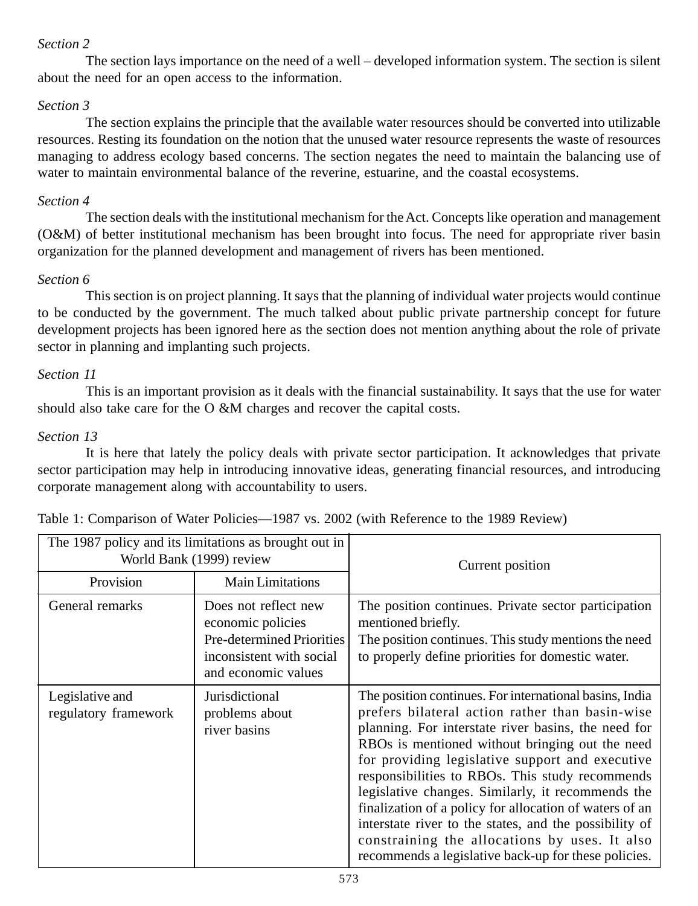## *Section 2*

The section lays importance on the need of a well – developed information system. The section is silent about the need for an open access to the information.

## *Section 3*

The section explains the principle that the available water resources should be converted into utilizable resources. Resting its foundation on the notion that the unused water resource represents the waste of resources managing to address ecology based concerns. The section negates the need to maintain the balancing use of water to maintain environmental balance of the reverine, estuarine, and the coastal ecosystems.

## *Section 4*

The section deals with the institutional mechanism for the Act. Concepts like operation and management (O&M) of better institutional mechanism has been brought into focus. The need for appropriate river basin organization for the planned development and management of rivers has been mentioned.

## *Section 6*

This section is on project planning. It says that the planning of individual water projects would continue to be conducted by the government. The much talked about public private partnership concept for future development projects has been ignored here as the section does not mention anything about the role of private sector in planning and implanting such projects.

## *Section 11*

This is an important provision as it deals with the financial sustainability. It says that the use for water should also take care for the O &M charges and recover the capital costs.

## *Section 13*

It is here that lately the policy deals with private sector participation. It acknowledges that private sector participation may help in introducing innovative ideas, generating financial resources, and introducing corporate management along with accountability to users.

| The 1987 policy and its limitations as brought out in<br>World Bank (1999) review |                                                                                                                                  | Current position                                                                                                                                                                                                                                                                                                                                                                                                                                                                                                                                                                                              |
|-----------------------------------------------------------------------------------|----------------------------------------------------------------------------------------------------------------------------------|---------------------------------------------------------------------------------------------------------------------------------------------------------------------------------------------------------------------------------------------------------------------------------------------------------------------------------------------------------------------------------------------------------------------------------------------------------------------------------------------------------------------------------------------------------------------------------------------------------------|
| Provision                                                                         | <b>Main Limitations</b>                                                                                                          |                                                                                                                                                                                                                                                                                                                                                                                                                                                                                                                                                                                                               |
| General remarks                                                                   | Does not reflect new<br>economic policies<br><b>Pre-determined Priorities</b><br>inconsistent with social<br>and economic values | The position continues. Private sector participation<br>mentioned briefly.<br>The position continues. This study mentions the need<br>to properly define priorities for domestic water.                                                                                                                                                                                                                                                                                                                                                                                                                       |
| Legislative and<br>regulatory framework                                           | Jurisdictional<br>problems about<br>river basins                                                                                 | The position continues. For international basins, India<br>prefers bilateral action rather than basin-wise<br>planning. For interstate river basins, the need for<br>RBOs is mentioned without bringing out the need<br>for providing legislative support and executive<br>responsibilities to RBOs. This study recommends<br>legislative changes. Similarly, it recommends the<br>finalization of a policy for allocation of waters of an<br>interstate river to the states, and the possibility of<br>constraining the allocations by uses. It also<br>recommends a legislative back-up for these policies. |

Table 1: Comparison of Water Policies—1987 vs. 2002 (with Reference to the 1989 Review)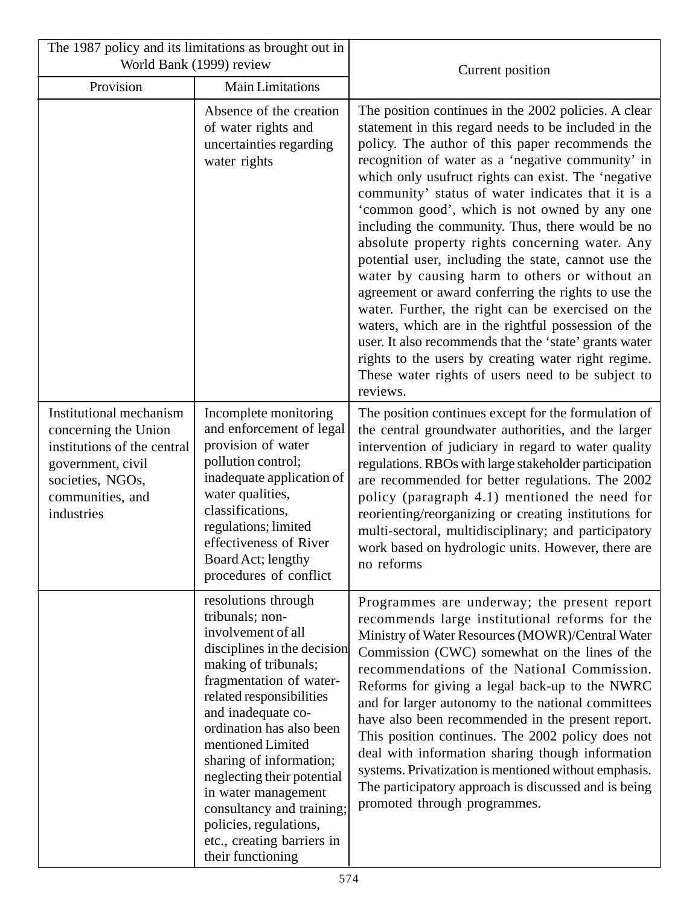| The 1987 policy and its limitations as brought out in<br>World Bank (1999) review                                                                         |                                                                                                                                                                                                                                                                                                                                                                                                                                             | Current position                                                                                                                                                                                                                                                                                                                                                                                                                                                                                                                                                                                                                                                                                                                                                                                                                                                                                                                                    |
|-----------------------------------------------------------------------------------------------------------------------------------------------------------|---------------------------------------------------------------------------------------------------------------------------------------------------------------------------------------------------------------------------------------------------------------------------------------------------------------------------------------------------------------------------------------------------------------------------------------------|-----------------------------------------------------------------------------------------------------------------------------------------------------------------------------------------------------------------------------------------------------------------------------------------------------------------------------------------------------------------------------------------------------------------------------------------------------------------------------------------------------------------------------------------------------------------------------------------------------------------------------------------------------------------------------------------------------------------------------------------------------------------------------------------------------------------------------------------------------------------------------------------------------------------------------------------------------|
| Provision                                                                                                                                                 | Main Limitations                                                                                                                                                                                                                                                                                                                                                                                                                            |                                                                                                                                                                                                                                                                                                                                                                                                                                                                                                                                                                                                                                                                                                                                                                                                                                                                                                                                                     |
|                                                                                                                                                           | Absence of the creation<br>of water rights and<br>uncertainties regarding<br>water rights                                                                                                                                                                                                                                                                                                                                                   | The position continues in the 2002 policies. A clear<br>statement in this regard needs to be included in the<br>policy. The author of this paper recommends the<br>recognition of water as a 'negative community' in<br>which only usufruct rights can exist. The 'negative<br>community' status of water indicates that it is a<br>'common good', which is not owned by any one<br>including the community. Thus, there would be no<br>absolute property rights concerning water. Any<br>potential user, including the state, cannot use the<br>water by causing harm to others or without an<br>agreement or award conferring the rights to use the<br>water. Further, the right can be exercised on the<br>waters, which are in the rightful possession of the<br>user. It also recommends that the 'state' grants water<br>rights to the users by creating water right regime.<br>These water rights of users need to be subject to<br>reviews. |
| Institutional mechanism<br>concerning the Union<br>institutions of the central<br>government, civil<br>societies, NGOs,<br>communities, and<br>industries | Incomplete monitoring<br>and enforcement of legal<br>provision of water<br>pollution control;<br>inadequate application of<br>water qualities,<br>classifications,<br>regulations; limited<br>effectiveness of River<br>Board Act; lengthy<br>procedures of conflict                                                                                                                                                                        | The position continues except for the formulation of<br>the central groundwater authorities, and the larger<br>intervention of judiciary in regard to water quality<br>regulations. RBOs with large stakeholder participation<br>are recommended for better regulations. The 2002<br>policy (paragraph 4.1) mentioned the need for<br>reorienting/reorganizing or creating institutions for<br>multi-sectoral, multidisciplinary; and participatory<br>work based on hydrologic units. However, there are<br>no reforms                                                                                                                                                                                                                                                                                                                                                                                                                             |
|                                                                                                                                                           | resolutions through<br>tribunals; non-<br>involvement of all<br>disciplines in the decision<br>making of tribunals;<br>fragmentation of water-<br>related responsibilities<br>and inadequate co-<br>ordination has also been<br>mentioned Limited<br>sharing of information;<br>neglecting their potential<br>in water management<br>consultancy and training;<br>policies, regulations,<br>etc., creating barriers in<br>their functioning | Programmes are underway; the present report<br>recommends large institutional reforms for the<br>Ministry of Water Resources (MOWR)/Central Water<br>Commission (CWC) somewhat on the lines of the<br>recommendations of the National Commission.<br>Reforms for giving a legal back-up to the NWRC<br>and for larger autonomy to the national committees<br>have also been recommended in the present report.<br>This position continues. The 2002 policy does not<br>deal with information sharing though information<br>systems. Privatization is mentioned without emphasis.<br>The participatory approach is discussed and is being<br>promoted through programmes.                                                                                                                                                                                                                                                                            |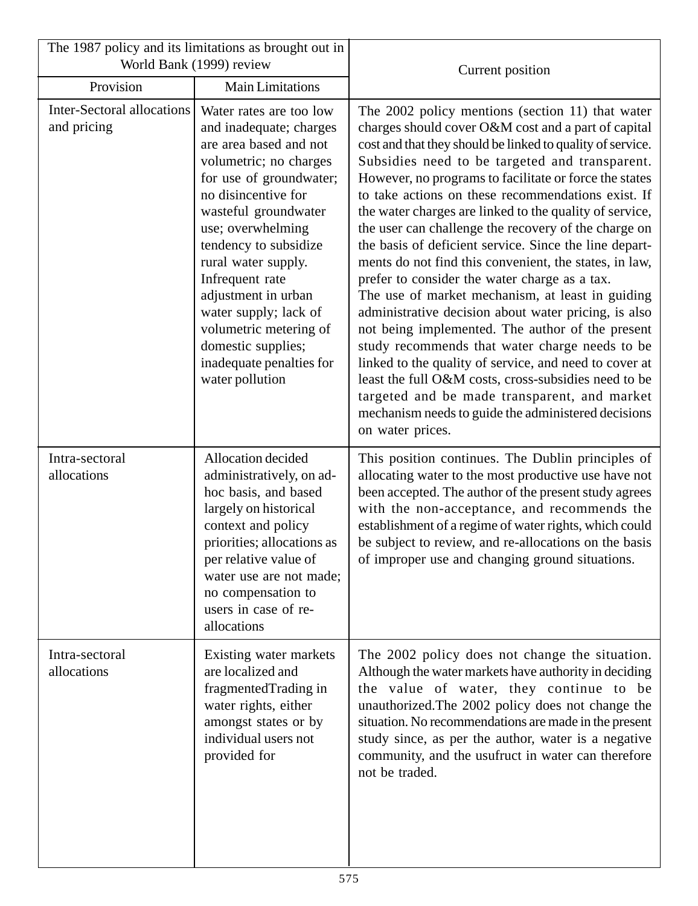| The 1987 policy and its limitations as brought out in<br>World Bank (1999) review |                                                                                                                                                                                                                                                                                                                                                                                                                         |                                                                                                                                                                                                                                                                                                                                                                                                                                                                                                                                                                                                                                                                                                                                                                                                                                                                                                                                                                                                                                                                                                |
|-----------------------------------------------------------------------------------|-------------------------------------------------------------------------------------------------------------------------------------------------------------------------------------------------------------------------------------------------------------------------------------------------------------------------------------------------------------------------------------------------------------------------|------------------------------------------------------------------------------------------------------------------------------------------------------------------------------------------------------------------------------------------------------------------------------------------------------------------------------------------------------------------------------------------------------------------------------------------------------------------------------------------------------------------------------------------------------------------------------------------------------------------------------------------------------------------------------------------------------------------------------------------------------------------------------------------------------------------------------------------------------------------------------------------------------------------------------------------------------------------------------------------------------------------------------------------------------------------------------------------------|
| Provision                                                                         | <b>Main Limitations</b>                                                                                                                                                                                                                                                                                                                                                                                                 | Current position                                                                                                                                                                                                                                                                                                                                                                                                                                                                                                                                                                                                                                                                                                                                                                                                                                                                                                                                                                                                                                                                               |
| <b>Inter-Sectoral allocations</b><br>and pricing                                  | Water rates are too low<br>and inadequate; charges<br>are area based and not<br>volumetric; no charges<br>for use of groundwater;<br>no disincentive for<br>wasteful groundwater<br>use; overwhelming<br>tendency to subsidize<br>rural water supply.<br>Infrequent rate<br>adjustment in urban<br>water supply; lack of<br>volumetric metering of<br>domestic supplies;<br>inadequate penalties for<br>water pollution | The 2002 policy mentions (section 11) that water<br>charges should cover O&M cost and a part of capital<br>cost and that they should be linked to quality of service.<br>Subsidies need to be targeted and transparent.<br>However, no programs to facilitate or force the states<br>to take actions on these recommendations exist. If<br>the water charges are linked to the quality of service,<br>the user can challenge the recovery of the charge on<br>the basis of deficient service. Since the line depart-<br>ments do not find this convenient, the states, in law,<br>prefer to consider the water charge as a tax.<br>The use of market mechanism, at least in guiding<br>administrative decision about water pricing, is also<br>not being implemented. The author of the present<br>study recommends that water charge needs to be<br>linked to the quality of service, and need to cover at<br>least the full O&M costs, cross-subsidies need to be<br>targeted and be made transparent, and market<br>mechanism needs to guide the administered decisions<br>on water prices. |
| Intra-sectoral<br>allocations                                                     | Allocation decided<br>administratively, on ad-<br>hoc basis, and based<br>largely on historical<br>context and policy<br>priorities; allocations as<br>per relative value of<br>water use are not made;<br>no compensation to<br>users in case of re-<br>allocations                                                                                                                                                    | This position continues. The Dublin principles of<br>allocating water to the most productive use have not<br>been accepted. The author of the present study agrees<br>with the non-acceptance, and recommends the<br>establishment of a regime of water rights, which could<br>be subject to review, and re-allocations on the basis<br>of improper use and changing ground situations.                                                                                                                                                                                                                                                                                                                                                                                                                                                                                                                                                                                                                                                                                                        |
| Intra-sectoral<br>allocations                                                     | Existing water markets<br>are localized and<br>fragmentedTrading in<br>water rights, either<br>amongst states or by<br>individual users not<br>provided for                                                                                                                                                                                                                                                             | The 2002 policy does not change the situation.<br>Although the water markets have authority in deciding<br>the value of water, they continue to be<br>unauthorized. The 2002 policy does not change the<br>situation. No recommendations are made in the present<br>study since, as per the author, water is a negative<br>community, and the usufruct in water can therefore<br>not be traded.                                                                                                                                                                                                                                                                                                                                                                                                                                                                                                                                                                                                                                                                                                |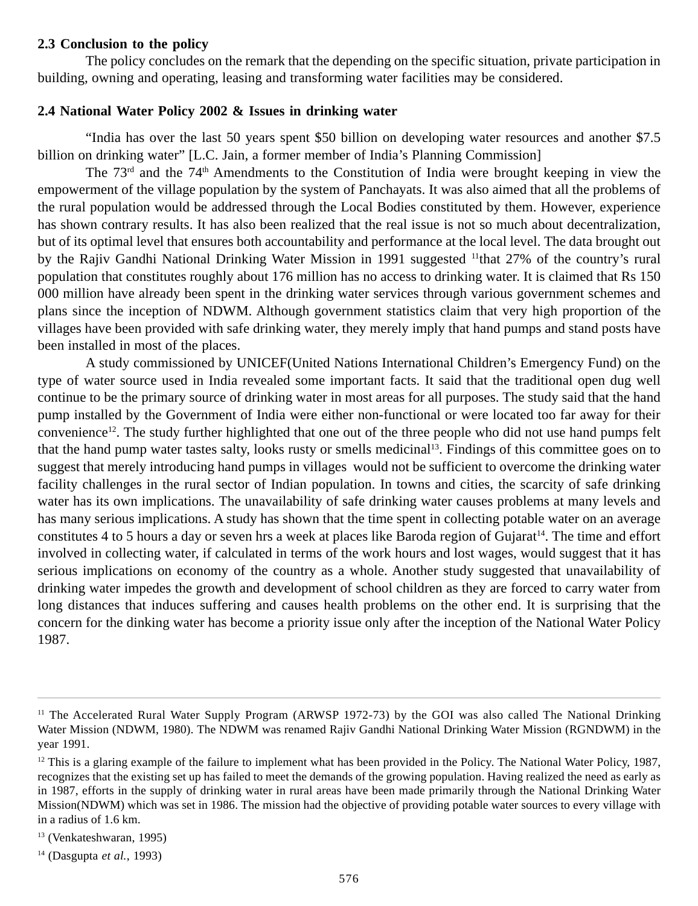## **2.3 Conclusion to the policy**

The policy concludes on the remark that the depending on the specific situation, private participation in building, owning and operating, leasing and transforming water facilities may be considered.

### **2.4 National Water Policy 2002 & Issues in drinking water**

"India has over the last 50 years spent \$50 billion on developing water resources and another \$7.5 billion on drinking water" [L.C. Jain, a former member of India's Planning Commission]

The 73rd and the 74th Amendments to the Constitution of India were brought keeping in view the empowerment of the village population by the system of Panchayats. It was also aimed that all the problems of the rural population would be addressed through the Local Bodies constituted by them. However, experience has shown contrary results. It has also been realized that the real issue is not so much about decentralization, but of its optimal level that ensures both accountability and performance at the local level. The data brought out by the Rajiv Gandhi National Drinking Water Mission in 1991 suggested 11that 27% of the country's rural population that constitutes roughly about 176 million has no access to drinking water. It is claimed that Rs 150 000 million have already been spent in the drinking water services through various government schemes and plans since the inception of NDWM. Although government statistics claim that very high proportion of the villages have been provided with safe drinking water, they merely imply that hand pumps and stand posts have been installed in most of the places.

A study commissioned by UNICEF(United Nations International Children's Emergency Fund) on the type of water source used in India revealed some important facts. It said that the traditional open dug well continue to be the primary source of drinking water in most areas for all purposes. The study said that the hand pump installed by the Government of India were either non-functional or were located too far away for their convenience<sup>12</sup>. The study further highlighted that one out of the three people who did not use hand pumps felt that the hand pump water tastes salty, looks rusty or smells medicinal13. Findings of this committee goes on to suggest that merely introducing hand pumps in villages would not be sufficient to overcome the drinking water facility challenges in the rural sector of Indian population. In towns and cities, the scarcity of safe drinking water has its own implications. The unavailability of safe drinking water causes problems at many levels and has many serious implications. A study has shown that the time spent in collecting potable water on an average constitutes 4 to 5 hours a day or seven hrs a week at places like Baroda region of Gujarat<sup>14</sup>. The time and effort involved in collecting water, if calculated in terms of the work hours and lost wages, would suggest that it has serious implications on economy of the country as a whole. Another study suggested that unavailability of drinking water impedes the growth and development of school children as they are forced to carry water from long distances that induces suffering and causes health problems on the other end. It is surprising that the concern for the dinking water has become a priority issue only after the inception of the National Water Policy 1987.

<sup>&</sup>lt;sup>11</sup> The Accelerated Rural Water Supply Program (ARWSP 1972-73) by the GOI was also called The National Drinking Water Mission (NDWM, 1980). The NDWM was renamed Rajiv Gandhi National Drinking Water Mission (RGNDWM) in the year 1991.

 $12$  This is a glaring example of the failure to implement what has been provided in the Policy. The National Water Policy, 1987, recognizes that the existing set up has failed to meet the demands of the growing population. Having realized the need as early as in 1987, efforts in the supply of drinking water in rural areas have been made primarily through the National Drinking Water Mission(NDWM) which was set in 1986. The mission had the objective of providing potable water sources to every village with in a radius of 1.6 km.

<sup>13 (</sup>Venkateshwaran, 1995)

<sup>14 (</sup>Dasgupta *et al.*, 1993)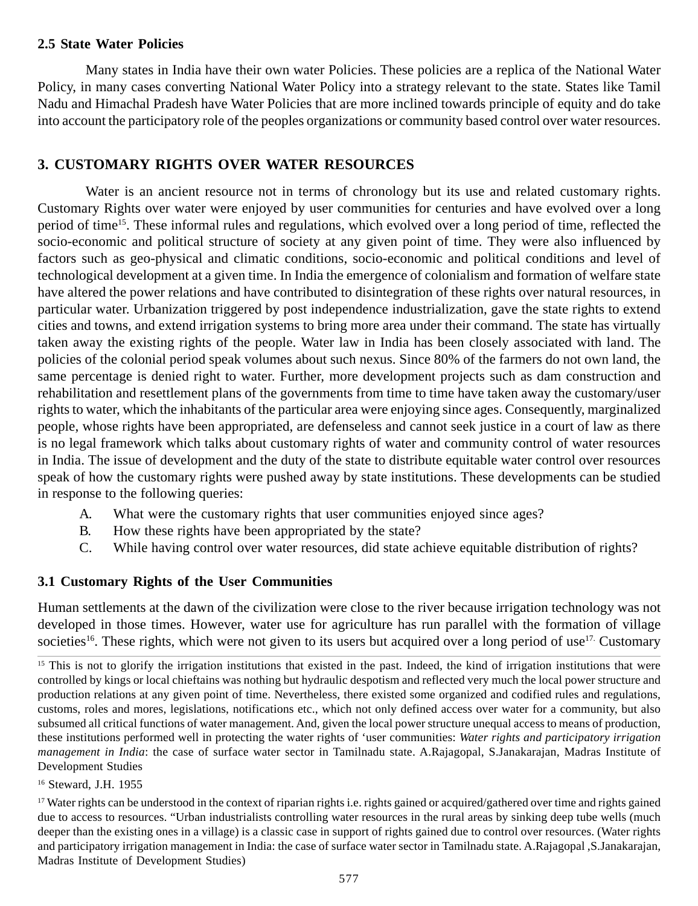### **2.5 State Water Policies**

Many states in India have their own water Policies. These policies are a replica of the National Water Policy, in many cases converting National Water Policy into a strategy relevant to the state. States like Tamil Nadu and Himachal Pradesh have Water Policies that are more inclined towards principle of equity and do take into account the participatory role of the peoples organizations or community based control over water resources.

# **3. CUSTOMARY RIGHTS OVER WATER RESOURCES**

Water is an ancient resource not in terms of chronology but its use and related customary rights. Customary Rights over water were enjoyed by user communities for centuries and have evolved over a long period of time15. These informal rules and regulations, which evolved over a long period of time, reflected the socio-economic and political structure of society at any given point of time. They were also influenced by factors such as geo-physical and climatic conditions, socio-economic and political conditions and level of technological development at a given time. In India the emergence of colonialism and formation of welfare state have altered the power relations and have contributed to disintegration of these rights over natural resources, in particular water. Urbanization triggered by post independence industrialization, gave the state rights to extend cities and towns, and extend irrigation systems to bring more area under their command. The state has virtually taken away the existing rights of the people. Water law in India has been closely associated with land. The policies of the colonial period speak volumes about such nexus. Since 80% of the farmers do not own land, the same percentage is denied right to water. Further, more development projects such as dam construction and rehabilitation and resettlement plans of the governments from time to time have taken away the customary/user rights to water, which the inhabitants of the particular area were enjoying since ages. Consequently, marginalized people, whose rights have been appropriated, are defenseless and cannot seek justice in a court of law as there is no legal framework which talks about customary rights of water and community control of water resources in India. The issue of development and the duty of the state to distribute equitable water control over resources speak of how the customary rights were pushed away by state institutions. These developments can be studied in response to the following queries:

- A. What were the customary rights that user communities enjoyed since ages?
- B. How these rights have been appropriated by the state?
- C. While having control over water resources, did state achieve equitable distribution of rights?

# **3.1 Customary Rights of the User Communities**

Human settlements at the dawn of the civilization were close to the river because irrigation technology was not developed in those times. However, water use for agriculture has run parallel with the formation of village societies<sup>16</sup>. These rights, which were not given to its users but acquired over a long period of use<sup>17.</sup> Customary

### 16 Steward, J.H. 1955

<sup>17</sup> Water rights can be understood in the context of riparian rights i.e. rights gained or acquired/gathered over time and rights gained due to access to resources. "Urban industrialists controlling water resources in the rural areas by sinking deep tube wells (much deeper than the existing ones in a village) is a classic case in support of rights gained due to control over resources. (Water rights and participatory irrigation management in India: the case of surface water sector in Tamilnadu state. A.Rajagopal ,S.Janakarajan, Madras Institute of Development Studies)

 $15$  This is not to glorify the irrigation institutions that existed in the past. Indeed, the kind of irrigation institutions that were controlled by kings or local chieftains was nothing but hydraulic despotism and reflected very much the local power structure and production relations at any given point of time. Nevertheless, there existed some organized and codified rules and regulations, customs, roles and mores, legislations, notifications etc., which not only defined access over water for a community, but also subsumed all critical functions of water management. And, given the local power structure unequal access to means of production, these institutions performed well in protecting the water rights of 'user communities: *Water rights and participatory irrigation management in India*: the case of surface water sector in Tamilnadu state. A.Rajagopal, S.Janakarajan, Madras Institute of Development Studies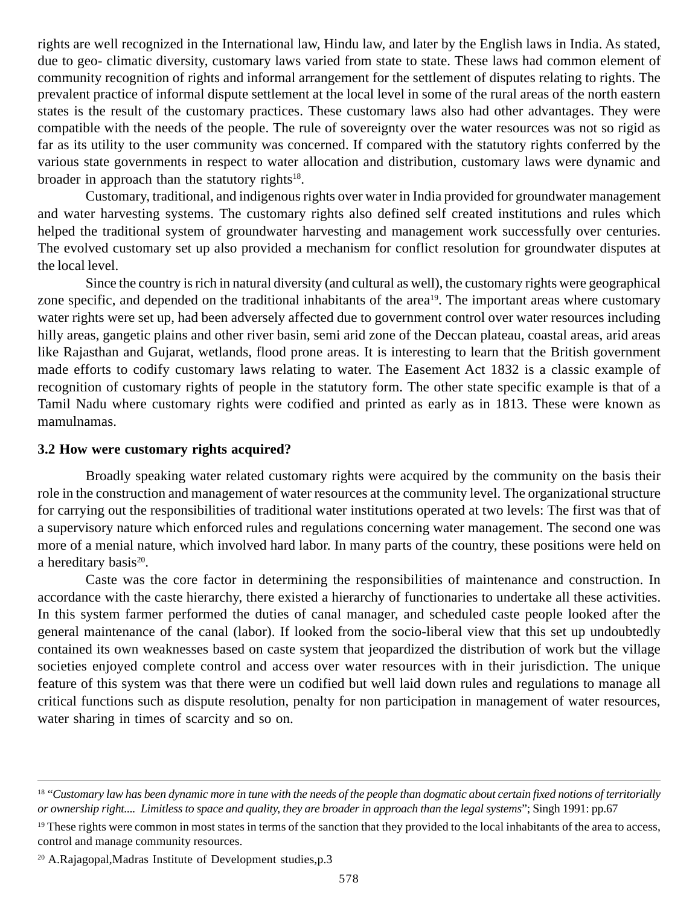rights are well recognized in the International law, Hindu law, and later by the English laws in India. As stated, due to geo- climatic diversity, customary laws varied from state to state. These laws had common element of community recognition of rights and informal arrangement for the settlement of disputes relating to rights. The prevalent practice of informal dispute settlement at the local level in some of the rural areas of the north eastern states is the result of the customary practices. These customary laws also had other advantages. They were compatible with the needs of the people. The rule of sovereignty over the water resources was not so rigid as far as its utility to the user community was concerned. If compared with the statutory rights conferred by the various state governments in respect to water allocation and distribution, customary laws were dynamic and broader in approach than the statutory rights $18$ .

Customary, traditional, and indigenous rights over water in India provided for groundwater management and water harvesting systems. The customary rights also defined self created institutions and rules which helped the traditional system of groundwater harvesting and management work successfully over centuries. The evolved customary set up also provided a mechanism for conflict resolution for groundwater disputes at the local level.

Since the country is rich in natural diversity (and cultural as well), the customary rights were geographical zone specific, and depended on the traditional inhabitants of the area<sup>19</sup>. The important areas where customary water rights were set up, had been adversely affected due to government control over water resources including hilly areas, gangetic plains and other river basin, semi arid zone of the Deccan plateau, coastal areas, arid areas like Rajasthan and Gujarat, wetlands, flood prone areas. It is interesting to learn that the British government made efforts to codify customary laws relating to water. The Easement Act 1832 is a classic example of recognition of customary rights of people in the statutory form. The other state specific example is that of a Tamil Nadu where customary rights were codified and printed as early as in 1813. These were known as mamulnamas.

#### **3.2 How were customary rights acquired?**

Broadly speaking water related customary rights were acquired by the community on the basis their role in the construction and management of water resources at the community level. The organizational structure for carrying out the responsibilities of traditional water institutions operated at two levels: The first was that of a supervisory nature which enforced rules and regulations concerning water management. The second one was more of a menial nature, which involved hard labor. In many parts of the country, these positions were held on a hereditary basis<sup>20</sup>.

Caste was the core factor in determining the responsibilities of maintenance and construction. In accordance with the caste hierarchy, there existed a hierarchy of functionaries to undertake all these activities. In this system farmer performed the duties of canal manager, and scheduled caste people looked after the general maintenance of the canal (labor). If looked from the socio-liberal view that this set up undoubtedly contained its own weaknesses based on caste system that jeopardized the distribution of work but the village societies enjoyed complete control and access over water resources with in their jurisdiction. The unique feature of this system was that there were un codified but well laid down rules and regulations to manage all critical functions such as dispute resolution, penalty for non participation in management of water resources, water sharing in times of scarcity and so on.

<sup>&</sup>lt;sup>18</sup> "Customary law has been dynamic more in tune with the needs of the people than dogmatic about certain fixed notions of territorially *or ownership right.... Limitless to space and quality, they are broader in approach than the legal systems*"; Singh 1991: pp.67

<sup>&</sup>lt;sup>19</sup> These rights were common in most states in terms of the sanction that they provided to the local inhabitants of the area to access, control and manage community resources.

<sup>20</sup> A.Rajagopal,Madras Institute of Development studies,p.3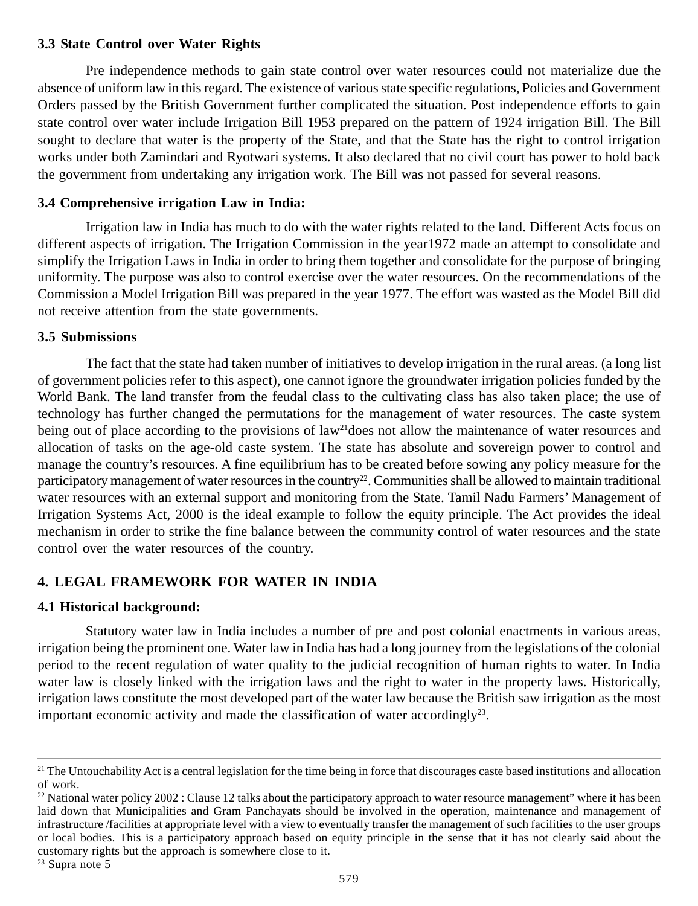### **3.3 State Control over Water Rights**

Pre independence methods to gain state control over water resources could not materialize due the absence of uniform law in this regard. The existence of various state specific regulations, Policies and Government Orders passed by the British Government further complicated the situation. Post independence efforts to gain state control over water include Irrigation Bill 1953 prepared on the pattern of 1924 irrigation Bill. The Bill sought to declare that water is the property of the State, and that the State has the right to control irrigation works under both Zamindari and Ryotwari systems. It also declared that no civil court has power to hold back the government from undertaking any irrigation work. The Bill was not passed for several reasons.

## **3.4 Comprehensive irrigation Law in India:**

Irrigation law in India has much to do with the water rights related to the land. Different Acts focus on different aspects of irrigation. The Irrigation Commission in the year1972 made an attempt to consolidate and simplify the Irrigation Laws in India in order to bring them together and consolidate for the purpose of bringing uniformity. The purpose was also to control exercise over the water resources. On the recommendations of the Commission a Model Irrigation Bill was prepared in the year 1977. The effort was wasted as the Model Bill did not receive attention from the state governments.

## **3.5 Submissions**

The fact that the state had taken number of initiatives to develop irrigation in the rural areas. (a long list of government policies refer to this aspect), one cannot ignore the groundwater irrigation policies funded by the World Bank. The land transfer from the feudal class to the cultivating class has also taken place; the use of technology has further changed the permutations for the management of water resources. The caste system being out of place according to the provisions of law<sup>21</sup>does not allow the maintenance of water resources and allocation of tasks on the age-old caste system. The state has absolute and sovereign power to control and manage the country's resources. A fine equilibrium has to be created before sowing any policy measure for the participatory management of water resources in the country<sup>22</sup>. Communities shall be allowed to maintain traditional water resources with an external support and monitoring from the State. Tamil Nadu Farmers' Management of Irrigation Systems Act, 2000 is the ideal example to follow the equity principle. The Act provides the ideal mechanism in order to strike the fine balance between the community control of water resources and the state control over the water resources of the country.

# **4. LEGAL FRAMEWORK FOR WATER IN INDIA**

## **4.1 Historical background:**

Statutory water law in India includes a number of pre and post colonial enactments in various areas, irrigation being the prominent one. Water law in India has had a long journey from the legislations of the colonial period to the recent regulation of water quality to the judicial recognition of human rights to water. In India water law is closely linked with the irrigation laws and the right to water in the property laws. Historically, irrigation laws constitute the most developed part of the water law because the British saw irrigation as the most important economic activity and made the classification of water accordingly<sup>23</sup>.

<sup>&</sup>lt;sup>21</sup> The Untouchability Act is a central legislation for the time being in force that discourages caste based institutions and allocation of work.

 $22$  National water policy  $2002$ : Clause 12 talks about the participatory approach to water resource management" where it has been laid down that Municipalities and Gram Panchayats should be involved in the operation, maintenance and management of infrastructure /facilities at appropriate level with a view to eventually transfer the management of such facilities to the user groups or local bodies. This is a participatory approach based on equity principle in the sense that it has not clearly said about the customary rights but the approach is somewhere close to it.

 $23$  Supra note 5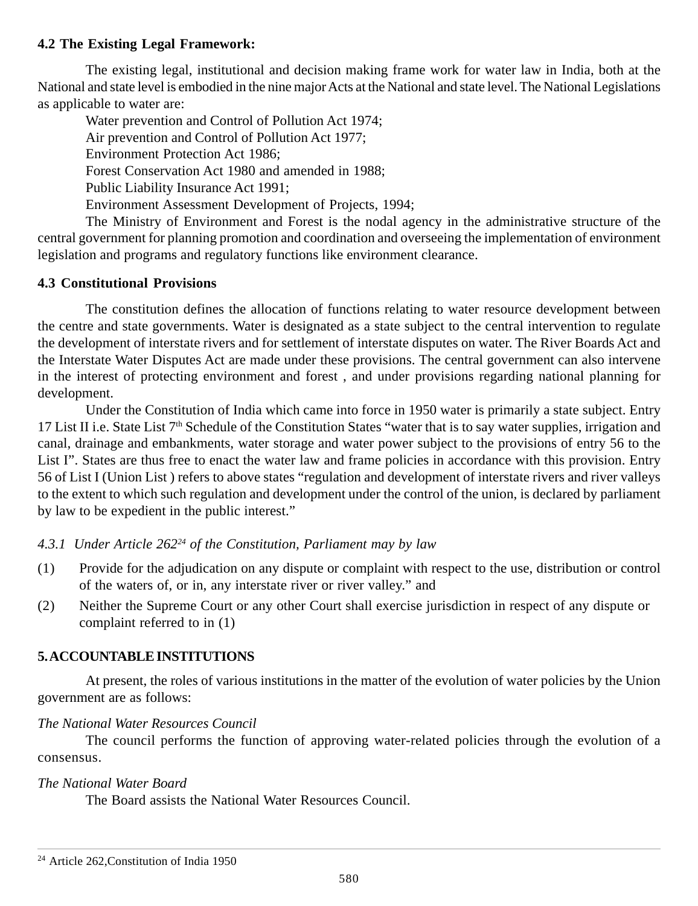## **4.2 The Existing Legal Framework:**

The existing legal, institutional and decision making frame work for water law in India, both at the National and state level is embodied in the nine major Acts at the National and state level. The National Legislations as applicable to water are:

Water prevention and Control of Pollution Act 1974; Air prevention and Control of Pollution Act 1977; Environment Protection Act 1986; Forest Conservation Act 1980 and amended in 1988; Public Liability Insurance Act 1991; Environment Assessment Development of Projects, 1994;

The Ministry of Environment and Forest is the nodal agency in the administrative structure of the central government for planning promotion and coordination and overseeing the implementation of environment legislation and programs and regulatory functions like environment clearance.

## **4.3 Constitutional Provisions**

The constitution defines the allocation of functions relating to water resource development between the centre and state governments. Water is designated as a state subject to the central intervention to regulate the development of interstate rivers and for settlement of interstate disputes on water. The River Boards Act and the Interstate Water Disputes Act are made under these provisions. The central government can also intervene in the interest of protecting environment and forest , and under provisions regarding national planning for development.

Under the Constitution of India which came into force in 1950 water is primarily a state subject. Entry 17 List II i.e. State List  $7<sup>th</sup>$  Schedule of the Constitution States "water that is to say water supplies, irrigation and canal, drainage and embankments, water storage and water power subject to the provisions of entry 56 to the List I". States are thus free to enact the water law and frame policies in accordance with this provision. Entry 56 of List I (Union List ) refers to above states "regulation and development of interstate rivers and river valleys to the extent to which such regulation and development under the control of the union, is declared by parliament by law to be expedient in the public interest."

## *4.3.1 Under Article 26224 of the Constitution, Parliament may by law*

- (1) Provide for the adjudication on any dispute or complaint with respect to the use, distribution or control of the waters of, or in, any interstate river or river valley." and
- (2) Neither the Supreme Court or any other Court shall exercise jurisdiction in respect of any dispute or complaint referred to in (1)

## **5. ACCOUNTABLE INSTITUTIONS**

At present, the roles of various institutions in the matter of the evolution of water policies by the Union government are as follows:

### *The National Water Resources Council*

The council performs the function of approving water-related policies through the evolution of a consensus.

### *The National Water Board*

The Board assists the National Water Resources Council.

<sup>24</sup> Article 262,Constitution of India 1950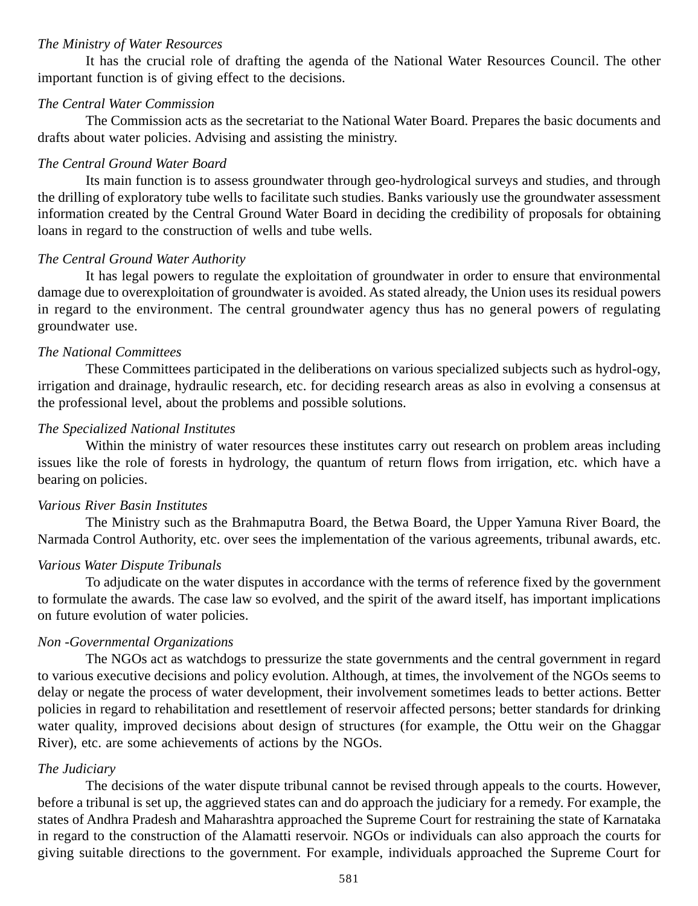#### *The Ministry of Water Resources*

It has the crucial role of drafting the agenda of the National Water Resources Council. The other important function is of giving effect to the decisions.

#### *The Central Water Commission*

The Commission acts as the secretariat to the National Water Board. Prepares the basic documents and drafts about water policies. Advising and assisting the ministry.

#### *The Central Ground Water Board*

Its main function is to assess groundwater through geo-hydrological surveys and studies, and through the drilling of exploratory tube wells to facilitate such studies. Banks variously use the groundwater assessment information created by the Central Ground Water Board in deciding the credibility of proposals for obtaining loans in regard to the construction of wells and tube wells.

### *The Central Ground Water Authority*

It has legal powers to regulate the exploitation of groundwater in order to ensure that environmental damage due to overexploitation of groundwater is avoided. As stated already, the Union uses its residual powers in regard to the environment. The central groundwater agency thus has no general powers of regulating groundwater use.

#### *The National Committees*

These Committees participated in the deliberations on various specialized subjects such as hydrol-ogy, irrigation and drainage, hydraulic research, etc. for deciding research areas as also in evolving a consensus at the professional level, about the problems and possible solutions.

#### *The Specialized National Institutes*

Within the ministry of water resources these institutes carry out research on problem areas including issues like the role of forests in hydrology, the quantum of return flows from irrigation, etc. which have a bearing on policies.

#### *Various River Basin Institutes*

The Ministry such as the Brahmaputra Board, the Betwa Board, the Upper Yamuna River Board, the Narmada Control Authority, etc. over sees the implementation of the various agreements, tribunal awards, etc.

## *Various Water Dispute Tribunals*

To adjudicate on the water disputes in accordance with the terms of reference fixed by the government to formulate the awards. The case law so evolved, and the spirit of the award itself, has important implications on future evolution of water policies.

#### *Non -Governmental Organizations*

The NGOs act as watchdogs to pressurize the state governments and the central government in regard to various executive decisions and policy evolution. Although, at times, the involvement of the NGOs seems to delay or negate the process of water development, their involvement sometimes leads to better actions. Better policies in regard to rehabilitation and resettlement of reservoir affected persons; better standards for drinking water quality, improved decisions about design of structures (for example, the Ottu weir on the Ghaggar River), etc. are some achievements of actions by the NGOs.

#### *The Judiciary*

The decisions of the water dispute tribunal cannot be revised through appeals to the courts. However, before a tribunal is set up, the aggrieved states can and do approach the judiciary for a remedy. For example, the states of Andhra Pradesh and Maharashtra approached the Supreme Court for restraining the state of Karnataka in regard to the construction of the Alamatti reservoir. NGOs or individuals can also approach the courts for giving suitable directions to the government. For example, individuals approached the Supreme Court for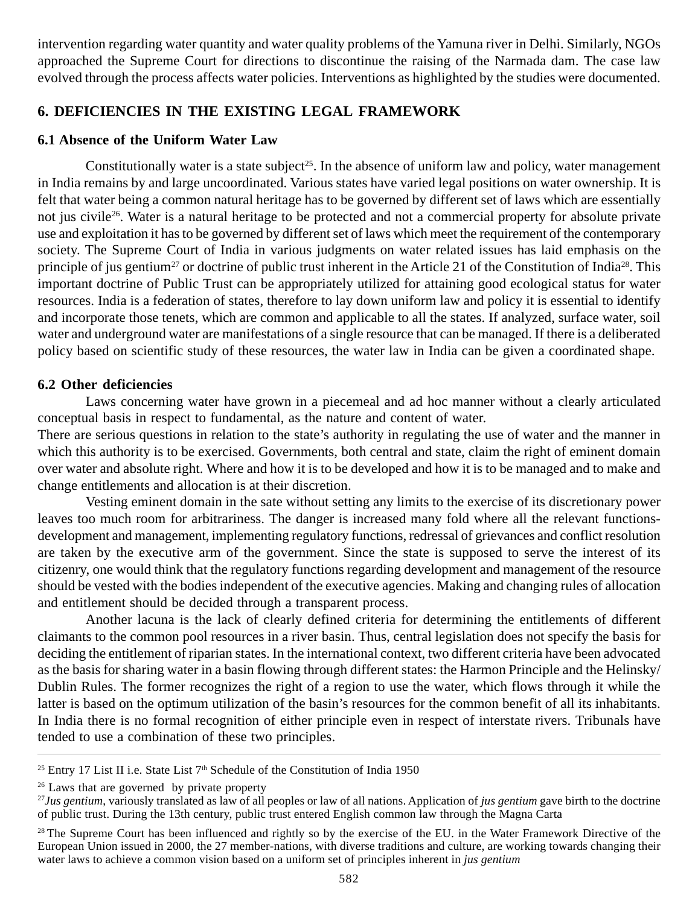intervention regarding water quantity and water quality problems of the Yamuna river in Delhi. Similarly, NGOs approached the Supreme Court for directions to discontinue the raising of the Narmada dam. The case law evolved through the process affects water policies. Interventions as highlighted by the studies were documented.

## **6. DEFICIENCIES IN THE EXISTING LEGAL FRAMEWORK**

## **6.1 Absence of the Uniform Water Law**

Constitutionally water is a state subject<sup>25</sup>. In the absence of uniform law and policy, water management in India remains by and large uncoordinated. Various states have varied legal positions on water ownership. It is felt that water being a common natural heritage has to be governed by different set of laws which are essentially not jus civile<sup>26</sup>. Water is a natural heritage to be protected and not a commercial property for absolute private use and exploitation it has to be governed by different set of laws which meet the requirement of the contemporary society. The Supreme Court of India in various judgments on water related issues has laid emphasis on the principle of jus gentium<sup>27</sup> or doctrine of public trust inherent in the Article 21 of the Constitution of India<sup>28</sup>. This important doctrine of Public Trust can be appropriately utilized for attaining good ecological status for water resources. India is a federation of states, therefore to lay down uniform law and policy it is essential to identify and incorporate those tenets, which are common and applicable to all the states. If analyzed, surface water, soil water and underground water are manifestations of a single resource that can be managed. If there is a deliberated policy based on scientific study of these resources, the water law in India can be given a coordinated shape.

## **6.2 Other deficiencies**

Laws concerning water have grown in a piecemeal and ad hoc manner without a clearly articulated conceptual basis in respect to fundamental, as the nature and content of water.

There are serious questions in relation to the state's authority in regulating the use of water and the manner in which this authority is to be exercised. Governments, both central and state, claim the right of eminent domain over water and absolute right. Where and how it is to be developed and how it is to be managed and to make and change entitlements and allocation is at their discretion.

Vesting eminent domain in the sate without setting any limits to the exercise of its discretionary power leaves too much room for arbitrariness. The danger is increased many fold where all the relevant functionsdevelopment and management, implementing regulatory functions, redressal of grievances and conflict resolution are taken by the executive arm of the government. Since the state is supposed to serve the interest of its citizenry, one would think that the regulatory functions regarding development and management of the resource should be vested with the bodies independent of the executive agencies. Making and changing rules of allocation and entitlement should be decided through a transparent process.

Another lacuna is the lack of clearly defined criteria for determining the entitlements of different claimants to the common pool resources in a river basin. Thus, central legislation does not specify the basis for deciding the entitlement of riparian states. In the international context, two different criteria have been advocated as the basis for sharing water in a basin flowing through different states: the Harmon Principle and the Helinsky/ Dublin Rules. The former recognizes the right of a region to use the water, which flows through it while the latter is based on the optimum utilization of the basin's resources for the common benefit of all its inhabitants. In India there is no formal recognition of either principle even in respect of interstate rivers. Tribunals have tended to use a combination of these two principles.

<sup>&</sup>lt;sup>25</sup> Entry 17 List II i.e. State List  $7<sup>th</sup>$  Schedule of the Constitution of India 1950

<sup>&</sup>lt;sup>26</sup> Laws that are governed by private property

<sup>27</sup>*Jus gentium*, variously translated as law of all peoples or law of all nations. Application of *jus gentium* gave birth to the doctrine of public trust. During the 13th century, public trust entered English common law through the Magna Carta

<sup>&</sup>lt;sup>28</sup> The Supreme Court has been influenced and rightly so by the exercise of the EU, in the Water Framework Directive of the European Union issued in 2000, the 27 member-nations, with diverse traditions and culture, are working towards changing their water laws to achieve a common vision based on a uniform set of principles inherent in *jus gentium*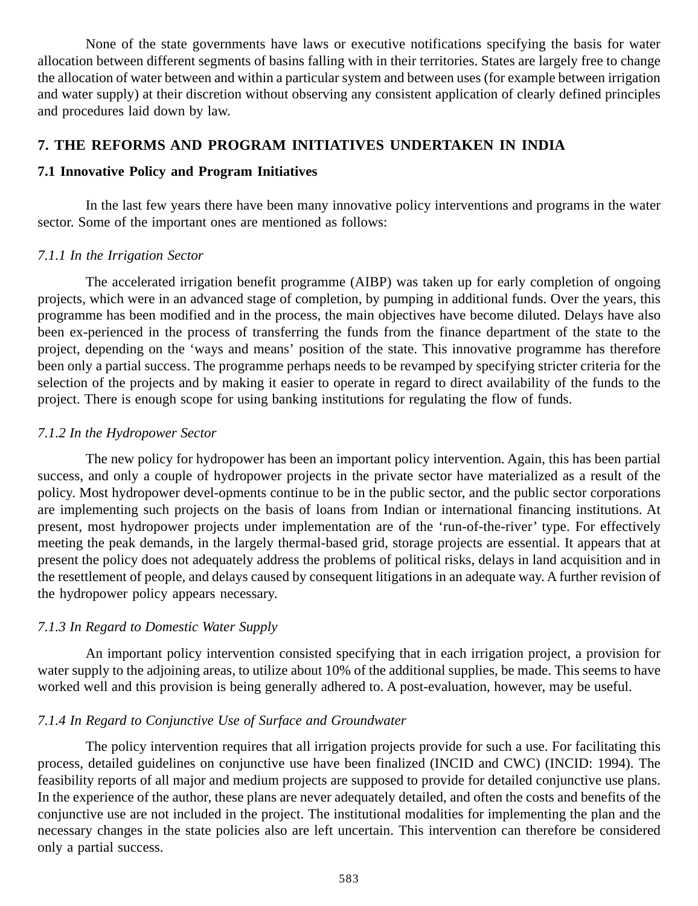None of the state governments have laws or executive notifications specifying the basis for water allocation between different segments of basins falling with in their territories. States are largely free to change the allocation of water between and within a particular system and between uses (for example between irrigation and water supply) at their discretion without observing any consistent application of clearly defined principles and procedures laid down by law.

## **7. THE REFORMS AND PROGRAM INITIATIVES UNDERTAKEN IN INDIA**

## **7.1 Innovative Policy and Program Initiatives**

In the last few years there have been many innovative policy interventions and programs in the water sector. Some of the important ones are mentioned as follows:

## *7.1.1 In the Irrigation Sector*

The accelerated irrigation benefit programme (AIBP) was taken up for early completion of ongoing projects, which were in an advanced stage of completion, by pumping in additional funds. Over the years, this programme has been modified and in the process, the main objectives have become diluted. Delays have also been ex-perienced in the process of transferring the funds from the finance department of the state to the project, depending on the 'ways and means' position of the state. This innovative programme has therefore been only a partial success. The programme perhaps needs to be revamped by specifying stricter criteria for the selection of the projects and by making it easier to operate in regard to direct availability of the funds to the project. There is enough scope for using banking institutions for regulating the flow of funds.

## *7.1.2 In the Hydropower Sector*

The new policy for hydropower has been an important policy intervention. Again, this has been partial success, and only a couple of hydropower projects in the private sector have materialized as a result of the policy. Most hydropower devel-opments continue to be in the public sector, and the public sector corporations are implementing such projects on the basis of loans from Indian or international financing institutions. At present, most hydropower projects under implementation are of the 'run-of-the-river' type. For effectively meeting the peak demands, in the largely thermal-based grid, storage projects are essential. It appears that at present the policy does not adequately address the problems of political risks, delays in land acquisition and in the resettlement of people, and delays caused by consequent litigations in an adequate way. A further revision of the hydropower policy appears necessary.

## *7.1.3 In Regard to Domestic Water Supply*

An important policy intervention consisted specifying that in each irrigation project, a provision for water supply to the adjoining areas, to utilize about 10% of the additional supplies, be made. This seems to have worked well and this provision is being generally adhered to. A post-evaluation, however, may be useful.

## *7.1.4 In Regard to Conjunctive Use of Surface and Groundwater*

The policy intervention requires that all irrigation projects provide for such a use. For facilitating this process, detailed guidelines on conjunctive use have been finalized (INCID and CWC) (INCID: 1994). The feasibility reports of all major and medium projects are supposed to provide for detailed conjunctive use plans. In the experience of the author, these plans are never adequately detailed, and often the costs and benefits of the conjunctive use are not included in the project. The institutional modalities for implementing the plan and the necessary changes in the state policies also are left uncertain. This intervention can therefore be considered only a partial success.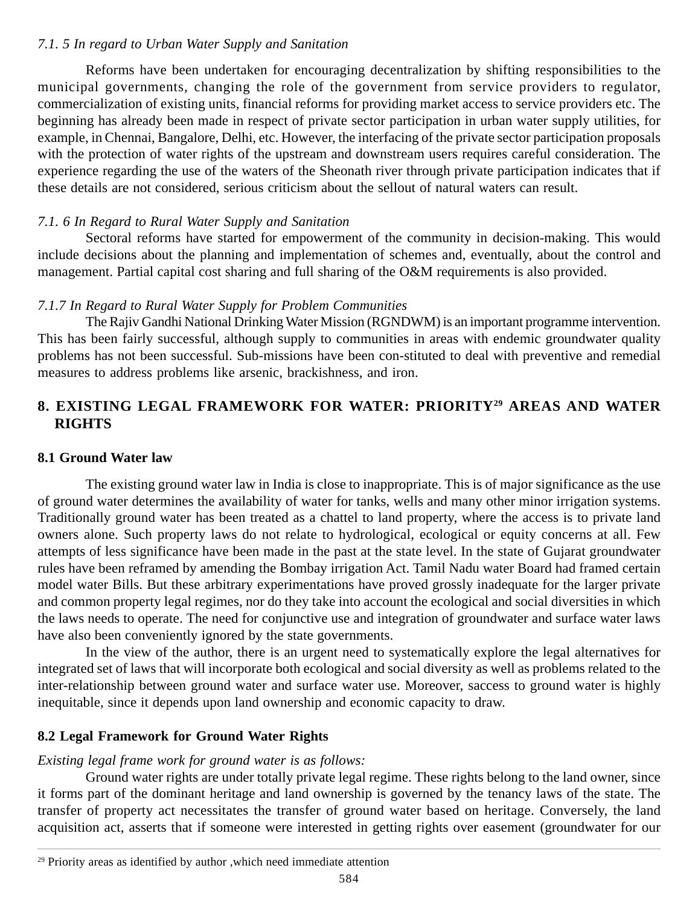## *7.1. 5 In regard to Urban Water Supply and Sanitation*

Reforms have been undertaken for encouraging decentralization by shifting responsibilities to the municipal governments, changing the role of the government from service providers to regulator, commercialization of existing units, financial reforms for providing market access to service providers etc. The beginning has already been made in respect of private sector participation in urban water supply utilities, for example, in Chennai, Bangalore, Delhi, etc. However, the interfacing of the private sector participation proposals with the protection of water rights of the upstream and downstream users requires careful consideration. The experience regarding the use of the waters of the Sheonath river through private participation indicates that if these details are not considered, serious criticism about the sellout of natural waters can result.

## *7.1. 6 In Regard to Rural Water Supply and Sanitation*

Sectoral reforms have started for empowerment of the community in decision-making. This would include decisions about the planning and implementation of schemes and, eventually, about the control and management. Partial capital cost sharing and full sharing of the O&M requirements is also provided.

## *7.1.7 In Regard to Rural Water Supply for Problem Communities*

The Rajiv Gandhi National Drinking Water Mission (RGNDWM) is an important programme intervention. This has been fairly successful, although supply to communities in areas with endemic groundwater quality problems has not been successful. Sub-missions have been con-stituted to deal with preventive and remedial measures to address problems like arsenic, brackishness, and iron.

# **8. EXISTING LEGAL FRAMEWORK FOR WATER: PRIORITY29 AREAS AND WATER RIGHTS**

## **8.1 Ground Water law**

The existing ground water law in India is close to inappropriate. This is of major significance as the use of ground water determines the availability of water for tanks, wells and many other minor irrigation systems. Traditionally ground water has been treated as a chattel to land property, where the access is to private land owners alone. Such property laws do not relate to hydrological, ecological or equity concerns at all. Few attempts of less significance have been made in the past at the state level. In the state of Gujarat groundwater rules have been reframed by amending the Bombay irrigation Act. Tamil Nadu water Board had framed certain model water Bills. But these arbitrary experimentations have proved grossly inadequate for the larger private and common property legal regimes, nor do they take into account the ecological and social diversities in which the laws needs to operate. The need for conjunctive use and integration of groundwater and surface water laws have also been conveniently ignored by the state governments.

In the view of the author, there is an urgent need to systematically explore the legal alternatives for integrated set of laws that will incorporate both ecological and social diversity as well as problems related to the inter-relationship between ground water and surface water use. Moreover, saccess to ground water is highly inequitable, since it depends upon land ownership and economic capacity to draw.

## **8.2 Legal Framework for Ground Water Rights**

## *Existing legal frame work for ground water is as follows:*

Ground water rights are under totally private legal regime. These rights belong to the land owner, since it forms part of the dominant heritage and land ownership is governed by the tenancy laws of the state. The transfer of property act necessitates the transfer of ground water based on heritage. Conversely, the land acquisition act, asserts that if someone were interested in getting rights over easement (groundwater for our

<sup>&</sup>lt;sup>29</sup> Priority areas as identified by author ,which need immediate attention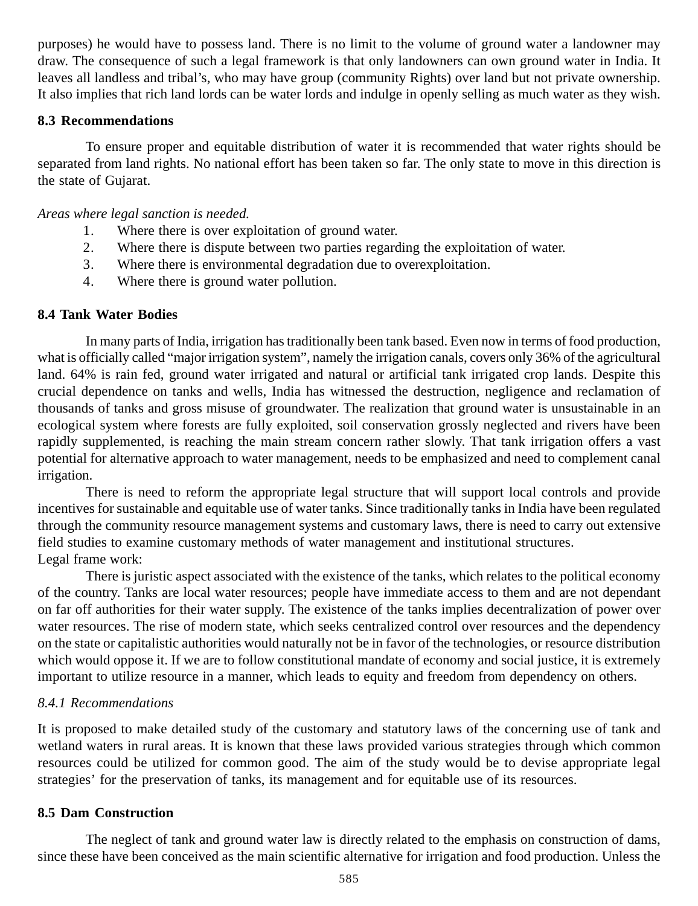purposes) he would have to possess land. There is no limit to the volume of ground water a landowner may draw. The consequence of such a legal framework is that only landowners can own ground water in India. It leaves all landless and tribal's, who may have group (community Rights) over land but not private ownership. It also implies that rich land lords can be water lords and indulge in openly selling as much water as they wish.

### **8.3 Recommendations**

To ensure proper and equitable distribution of water it is recommended that water rights should be separated from land rights. No national effort has been taken so far. The only state to move in this direction is the state of Gujarat.

### *Areas where legal sanction is needed.*

- 1. Where there is over exploitation of ground water.
- 2. Where there is dispute between two parties regarding the exploitation of water.
- 3. Where there is environmental degradation due to overexploitation.
- 4. Where there is ground water pollution.

## **8.4 Tank Water Bodies**

In many parts of India, irrigation has traditionally been tank based. Even now in terms of food production, what is officially called "major irrigation system", namely the irrigation canals, covers only 36% of the agricultural land. 64% is rain fed, ground water irrigated and natural or artificial tank irrigated crop lands. Despite this crucial dependence on tanks and wells, India has witnessed the destruction, negligence and reclamation of thousands of tanks and gross misuse of groundwater. The realization that ground water is unsustainable in an ecological system where forests are fully exploited, soil conservation grossly neglected and rivers have been rapidly supplemented, is reaching the main stream concern rather slowly. That tank irrigation offers a vast potential for alternative approach to water management, needs to be emphasized and need to complement canal irrigation.

There is need to reform the appropriate legal structure that will support local controls and provide incentives for sustainable and equitable use of water tanks. Since traditionally tanks in India have been regulated through the community resource management systems and customary laws, there is need to carry out extensive field studies to examine customary methods of water management and institutional structures. Legal frame work:

There is juristic aspect associated with the existence of the tanks, which relates to the political economy of the country. Tanks are local water resources; people have immediate access to them and are not dependant on far off authorities for their water supply. The existence of the tanks implies decentralization of power over water resources. The rise of modern state, which seeks centralized control over resources and the dependency on the state or capitalistic authorities would naturally not be in favor of the technologies, or resource distribution which would oppose it. If we are to follow constitutional mandate of economy and social justice, it is extremely important to utilize resource in a manner, which leads to equity and freedom from dependency on others.

### *8.4.1 Recommendations*

It is proposed to make detailed study of the customary and statutory laws of the concerning use of tank and wetland waters in rural areas. It is known that these laws provided various strategies through which common resources could be utilized for common good. The aim of the study would be to devise appropriate legal strategies' for the preservation of tanks, its management and for equitable use of its resources.

## **8.5 Dam Construction**

The neglect of tank and ground water law is directly related to the emphasis on construction of dams, since these have been conceived as the main scientific alternative for irrigation and food production. Unless the